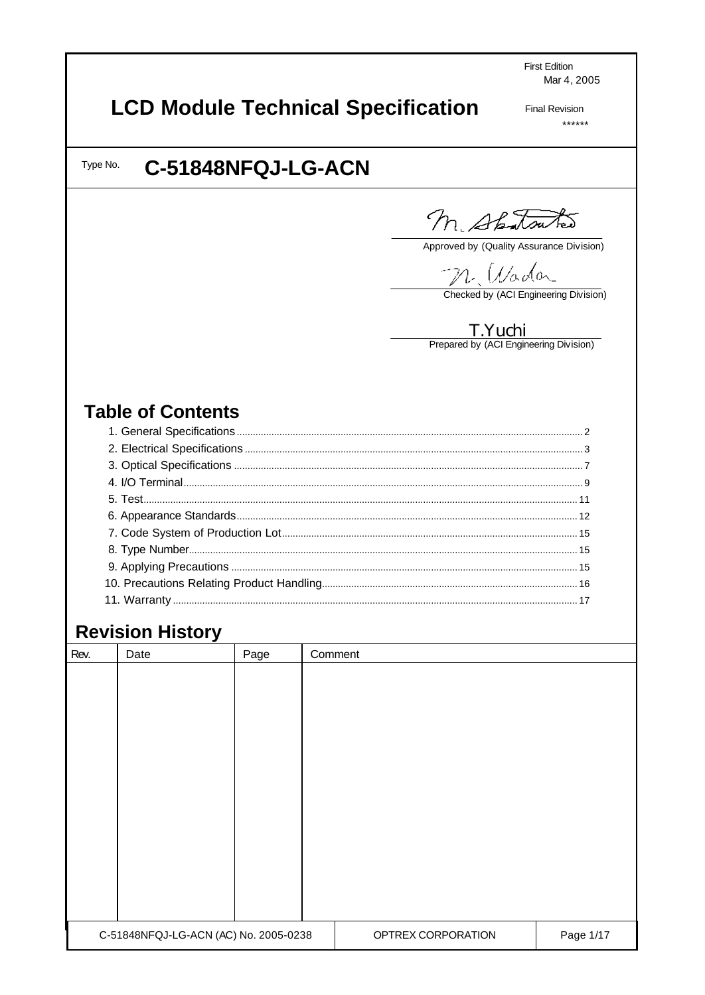**First Edition** Mar 4, 2005

# **LCD Module Technical Specification**

**Final Revision**  $******$ 

Type No.

## C-51848NFQJ-LG-ACN

M. Shatsutes

Approved by (Quality Assurance Division)

M. Wadar

Checked by (ACI Engineering Division)

T. Yuchi<br>Prepared by (ACI Engineering Division)

## **Table of Contents**

## **Revision History**

| Rev. | Date                                  | Page | Comment |                    |           |
|------|---------------------------------------|------|---------|--------------------|-----------|
|      |                                       |      |         |                    |           |
|      |                                       |      |         |                    |           |
|      |                                       |      |         |                    |           |
|      |                                       |      |         |                    |           |
|      |                                       |      |         |                    |           |
|      |                                       |      |         |                    |           |
|      |                                       |      |         |                    |           |
|      |                                       |      |         |                    |           |
|      |                                       |      |         |                    |           |
|      |                                       |      |         |                    |           |
|      |                                       |      |         |                    |           |
|      |                                       |      |         |                    |           |
|      |                                       |      |         |                    |           |
|      |                                       |      |         |                    |           |
|      | C-51848NFQJ-LG-ACN (AC) No. 2005-0238 |      |         | OPTREX CORPORATION | Page 1/17 |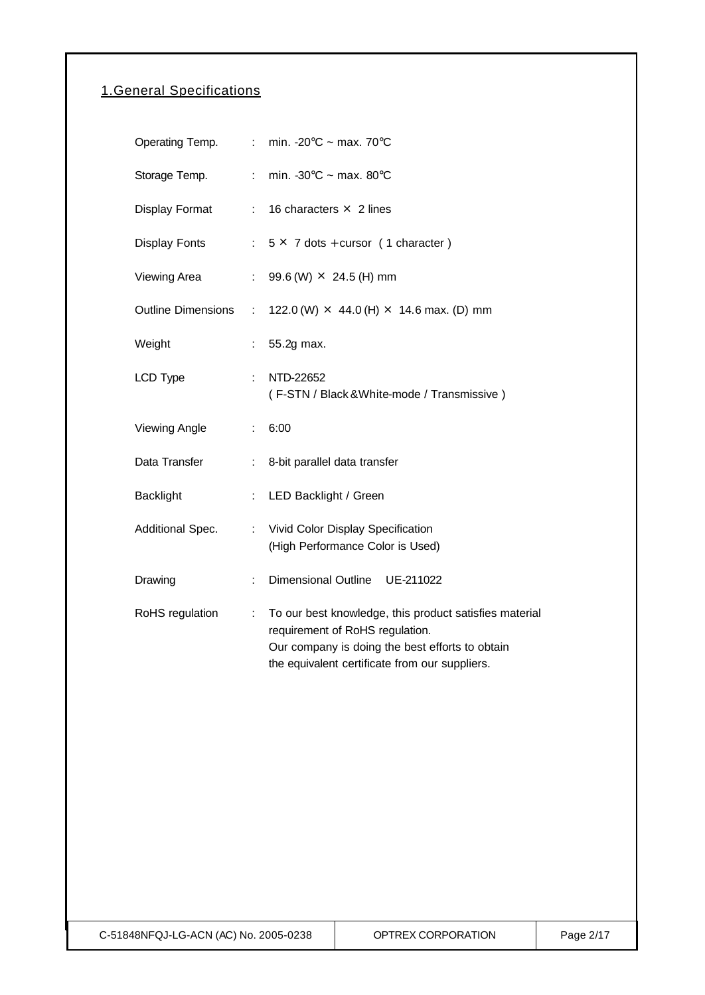## 1.General Specifications

| Operating Temp.      |    | : min. -20 $\degree$ C ~ max. 70 $\degree$ C                                                                                                                                                   |
|----------------------|----|------------------------------------------------------------------------------------------------------------------------------------------------------------------------------------------------|
| Storage Temp.        | ÷. | min. -30 $\degree$ C ~ max. 80 $\degree$ C                                                                                                                                                     |
| Display Format       |    | : 16 characters $\times$ 2 lines                                                                                                                                                               |
| Display Fonts        |    | $: 5 \times 7$ dots + cursor (1 character)                                                                                                                                                     |
| Viewing Area         | ÷. | 99.6 (W) $\times$ 24.5 (H) mm                                                                                                                                                                  |
| Outline Dimensions : |    | 122.0 (W) $\times$ 44.0 (H) $\times$ 14.6 max. (D) mm                                                                                                                                          |
| Weight               |    | 55.2g max.                                                                                                                                                                                     |
| <b>LCD Type</b>      | ÷. | NTD-22652<br>(F-STN / Black & White-mode / Transmissive)                                                                                                                                       |
| <b>Viewing Angle</b> |    | 6:00                                                                                                                                                                                           |
| Data Transfer        | t. | 8-bit parallel data transfer                                                                                                                                                                   |
| <b>Backlight</b>     | ÷. | LED Backlight / Green                                                                                                                                                                          |
| Additional Spec.     | ÷. | Vivid Color Display Specification<br>(High Performance Color is Used)                                                                                                                          |
| Drawing              | t. | Dimensional Outline UE-211022                                                                                                                                                                  |
| RoHS regulation      | ÷  | To our best knowledge, this product satisfies material<br>requirement of RoHS regulation.<br>Our company is doing the best efforts to obtain<br>the equivalent certificate from our suppliers. |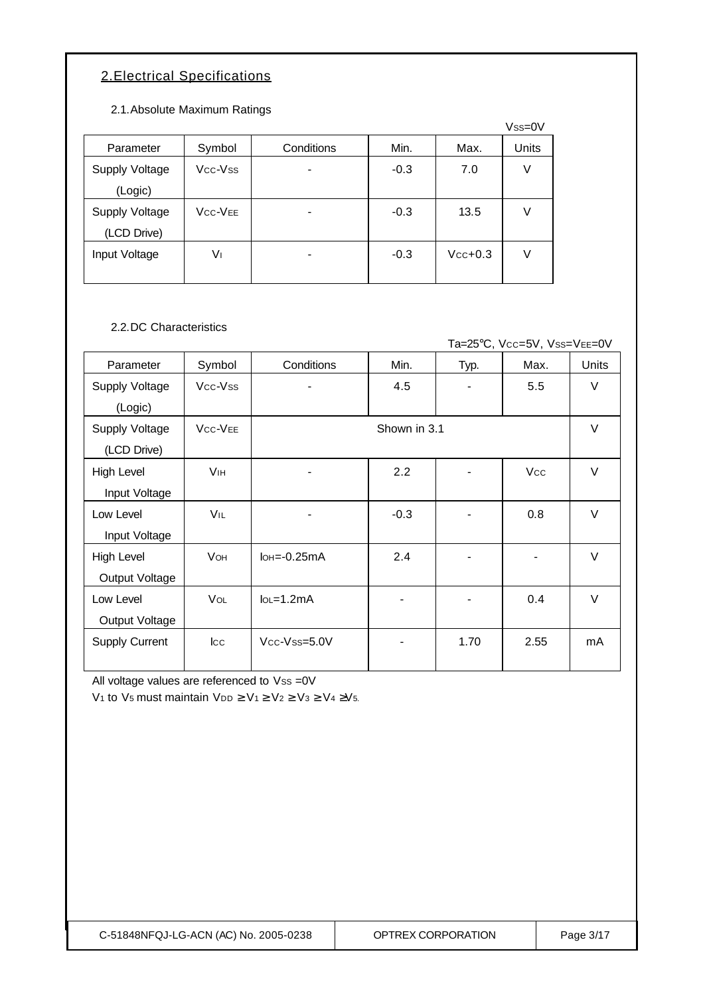### 2.Electrical Specifications

2.1.Absolute Maximum Ratings

|                |                                  |            |        |           | $Vss=0V$ |
|----------------|----------------------------------|------------|--------|-----------|----------|
| Parameter      | Symbol                           | Conditions | Min.   | Max.      | Units    |
| Supply Voltage | Vcc-Vss                          |            | $-0.3$ | 7.0       | V        |
| (Logic)        |                                  |            |        |           |          |
| Supply Voltage | V <sub>CC</sub> -V <sub>EE</sub> |            | $-0.3$ | 13.5      | V        |
| (LCD Drive)    |                                  |            |        |           |          |
| Input Voltage  | V١                               |            | $-0.3$ | $Vcc+0.3$ | V        |
|                |                                  |            |        |           |          |

2.2.DC Characteristics

Ta=25°C, Vcc=5V, Vss=VEE=0V

| Parameter             | Symbol                           | Conditions                    | Min.         | Typ. | Max.       | Units  |
|-----------------------|----------------------------------|-------------------------------|--------------|------|------------|--------|
| <b>Supply Voltage</b> | Vcc-Vss                          |                               | 4.5          |      | 5.5        | $\vee$ |
| (Logic)               |                                  |                               |              |      |            |        |
| Supply Voltage        | V <sub>CC</sub> -V <sub>EE</sub> |                               | Shown in 3.1 |      |            | $\vee$ |
| (LCD Drive)           |                                  |                               |              |      |            |        |
| High Level            | <b>V<sub>IH</sub></b>            |                               | 2.2          |      | <b>Vcc</b> | $\vee$ |
| Input Voltage         |                                  |                               |              |      |            |        |
| Low Level             | VIL                              | ۰                             | $-0.3$       |      | 0.8        | $\vee$ |
| Input Voltage         |                                  |                               |              |      |            |        |
| High Level            | <b>VOH</b>                       | $I$ <sub>OH</sub> $=$ -0.25mA | 2.4          |      |            | $\vee$ |
| Output Voltage        |                                  |                               |              |      |            |        |
| Low Level             | <b>VOL</b>                       | $IoL = 1.2mA$                 |              |      | 0.4        | $\vee$ |
| Output Voltage        |                                  |                               |              |      |            |        |
| Supply Current        | $ _{\rm CC}$                     | Vcc-Vss=5.0V                  |              | 1.70 | 2.55       | mA     |
|                       |                                  |                               |              |      |            |        |

All voltage values are referenced to Vss =0V

V<sub>1</sub> to V<sub>5</sub> must maintain V<sub>DD</sub>  $\geq$  V<sub>1</sub> $\geq$  V<sub>2</sub> $\geq$  V<sub>3</sub> $\geq$  V<sub>4</sub> $\geq$ V<sub>5</sub>.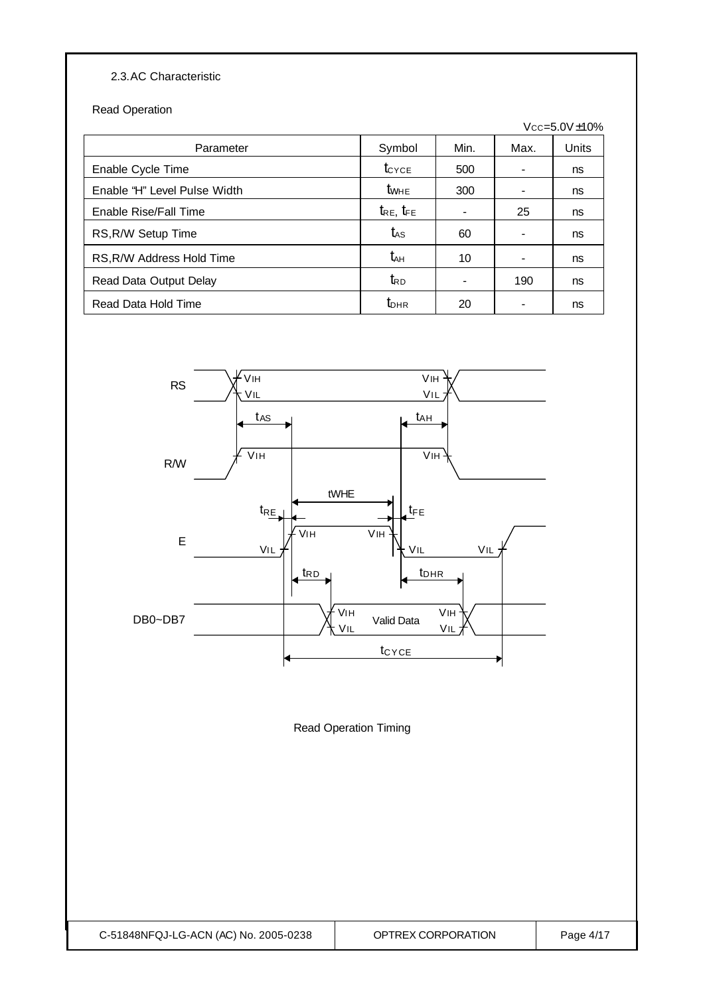#### 2.3.AC Characteristic

Read Operation

|                              |                     |                          |      | $Vcc = 5.0V \pm 10\%$ |
|------------------------------|---------------------|--------------------------|------|-----------------------|
| Parameter                    | Symbol              | Min.                     | Max. | Units                 |
| Enable Cycle Time            | $t_{\text{CYCE}}$   | 500                      |      | ns                    |
| Enable "H" Level Pulse Width | $t_{\text{WHE}}$    | 300                      |      | ns                    |
| Enable Rise/Fall Time        | $t_{RE}$ , $t_{FE}$ | $\overline{\phantom{a}}$ | 25   | ns                    |
| RS, R/W Setup Time           | tas                 | 60                       |      | ns                    |
| RS, R/W Address Hold Time    | $t_{\text{AH}}$     | 10                       |      | ns                    |
| Read Data Output Delay       | $t_{\rm RD}$        |                          | 190  | ns                    |
| Read Data Hold Time          | $t_{\text{DHR}}$    | 20                       |      | ns                    |



Read Operation Timing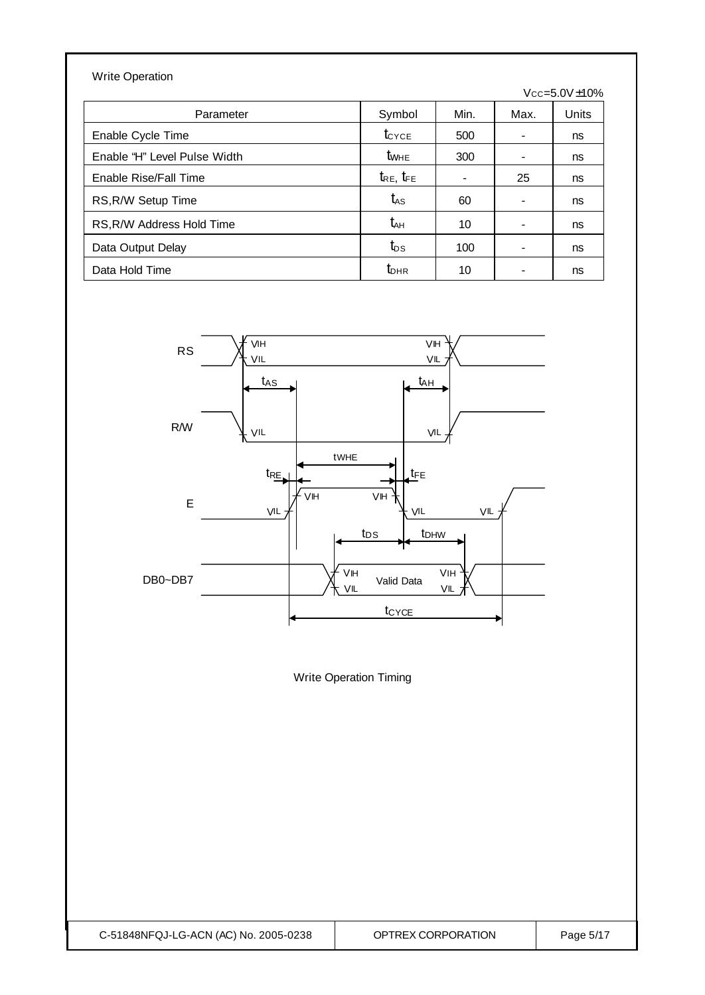| <b>Write Operation</b>       |                     |                |      |                       |
|------------------------------|---------------------|----------------|------|-----------------------|
|                              |                     |                |      | $Vcc = 5.0V \pm 10\%$ |
| Parameter                    | Symbol              | Min.           | Max. | Units                 |
| Enable Cycle Time            | $t_{\text{CYCE}}$   | 500            | ۰    | ns                    |
| Enable "H" Level Pulse Width | $t_{\text{WHE}}$    | 300            | -    | ns                    |
| Enable Rise/Fall Time        | $t_{RE}$ , $t_{FE}$ | $\blacksquare$ | 25   | ns                    |
| RS, R/W Setup Time           | $t_{\rm AS}$        | 60             | ۰    | ns                    |
| RS, R/W Address Hold Time    | $t_{AH}$            | 10             | ۰    | ns                    |
| Data Output Delay            | $t_{DS}$            | 100            | ۰    | ns                    |
| Data Hold Time               | $t_{\text{DHR}}$    | 10             |      | ns                    |



Write Operation Timing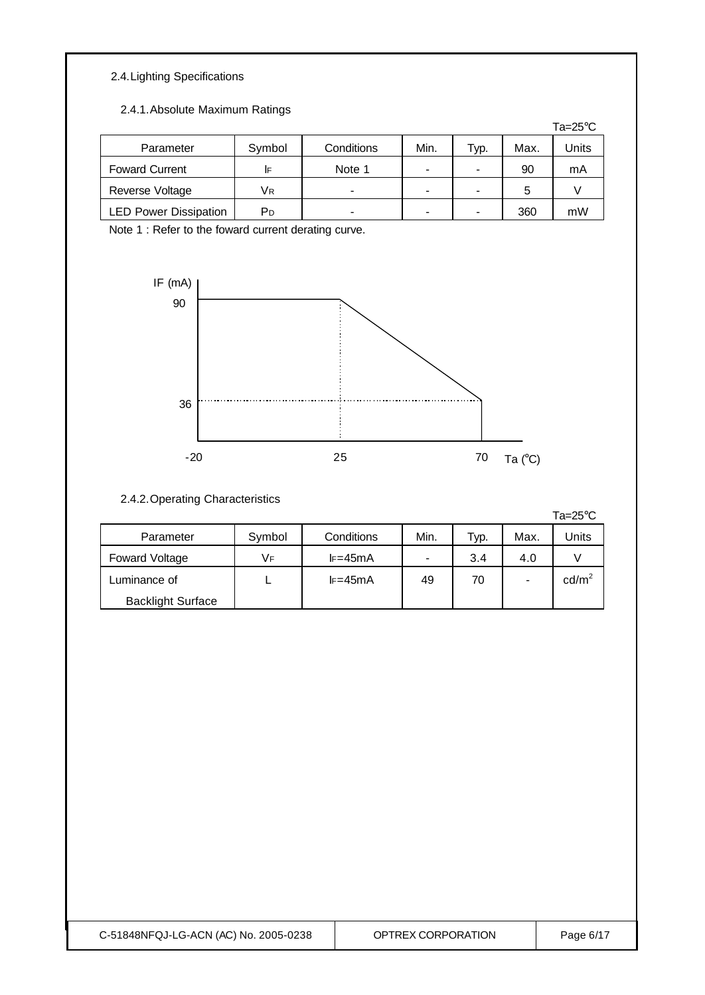#### 2.4.Lighting Specifications

2.4.1.Absolute Maximum Ratings

|                              |        |            |      |      |      | Ta=25 $\mathrm{^{\circ}C}$ |
|------------------------------|--------|------------|------|------|------|----------------------------|
| Parameter                    | Symbol | Conditions | Min. | Typ. | Max. | Units                      |
| <b>Foward Current</b>        | IF     | Note 1     | -    |      | 90   | mA                         |
| Reverse Voltage              | Vв     | -          | $\,$ |      | 5    |                            |
| <b>LED Power Dissipation</b> | PD     | -          | ۰    |      | 360  | mW                         |

Note 1 : Refer to the foward current derating curve.



#### 2.4.2.Operating Characteristics

Ta=25°C

| Parameter                | Symbol | Conditions | Min.           | Typ. | Max. | Units           |
|--------------------------|--------|------------|----------------|------|------|-----------------|
| Foward Voltage           | Vғ     | $l = 45mA$ | $\blacksquare$ | 3.4  | 4.0  |                 |
| Luminance of             |        | $l = 45mA$ | 49             | 70   | -    | $\text{cd/m}^2$ |
| <b>Backlight Surface</b> |        |            |                |      |      |                 |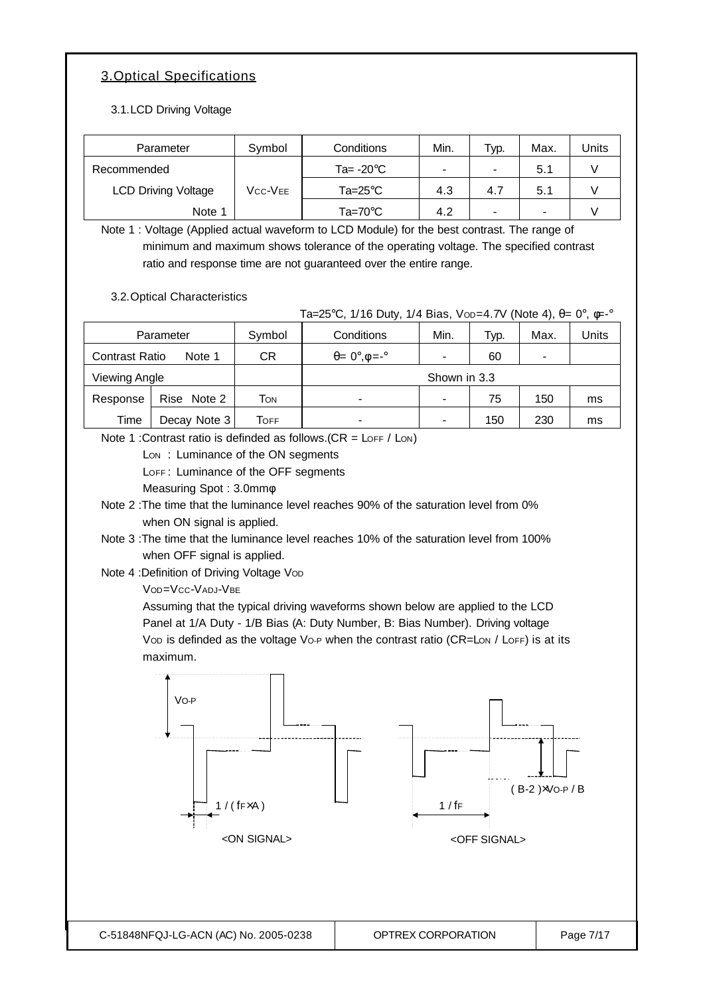### 3.Optical Specifications

3.1.LCD Driving Voltage

| Parameter                  | Symbol  | Conditions                 | Min. | Typ. | Max. | Units |
|----------------------------|---------|----------------------------|------|------|------|-------|
| Recommended                |         | Ta= $-20^{\circ}$ C        | ۰    | -    | 5.1  |       |
| <b>LCD Driving Voltage</b> | Vcc-Vee | Ta=25 $\mathrm{^{\circ}C}$ | 4.3  | 4.7  | 5.1  |       |
| Note 1                     |         | Ta=70 $^{\circ}$ C         | 4.2  | -    |      |       |

Note 1 : Voltage (Applied actual waveform to LCD Module) for the best contrast. The range of minimum and maximum shows tolerance of the operating voltage. The specified contrast ratio and response time are not guaranteed over the entire range.

3.2.Optical Characteristics

Ta=25°C, 1/16 Duty, 1/4 Bias, Vop=4.7V (Note 4), θ= 0°, φ=-°

| Parameter             |              | Symbol | Conditions                        | Min. | Typ. | Max. | Units |
|-----------------------|--------------|--------|-----------------------------------|------|------|------|-------|
| <b>Contrast Ratio</b> | Note 1       | СR     | $\theta = 0^\circ, \phi = -\circ$ |      | 60   |      |       |
| Viewing Angle         |              |        | Shown in 3.3                      |      |      |      |       |
| Response              | Rise Note 2  | Том    | ۰                                 |      | 75   | 150  | ms    |
| Time                  | Decay Note 3 | Тоғғ   | -                                 |      | 150  | 230  | ms    |

Note 1 : Contrast ratio is definded as follows.  $(CR = L$ OFF / LON)

Lon: Luminance of the ON segments

LOFF: Luminance of the OFF segments

Measuring Spot : 3.0mmφ

Note 2 :The time that the luminance level reaches 90% of the saturation level from 0% when ON signal is applied.

Note 3 :The time that the luminance level reaches 10% of the saturation level from 100% when OFF signal is applied.

Note 4 : Definition of Driving Voltage Vop

VOD=VCC-VADJ-VBE

Assuming that the typical driving waveforms shown below are applied to the LCD Panel at 1/A Duty - 1/B Bias (A: Duty Number, B: Bias Number). Driving voltage Vop is definded as the voltage Vo-P when the contrast ratio (CR=Lon / LoFF) is at its maximum.

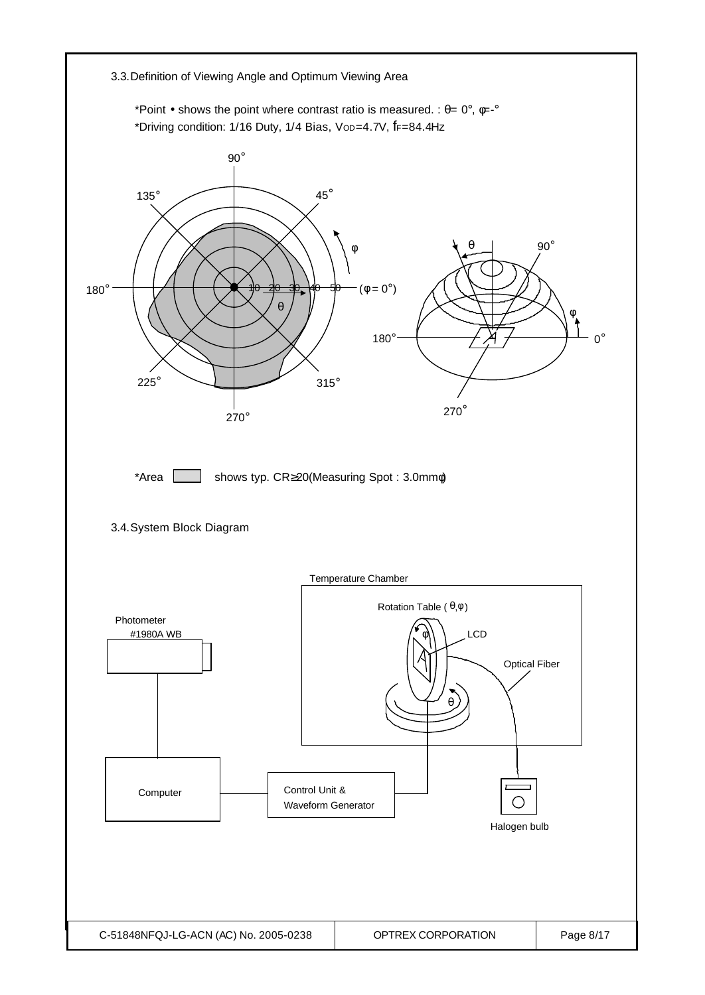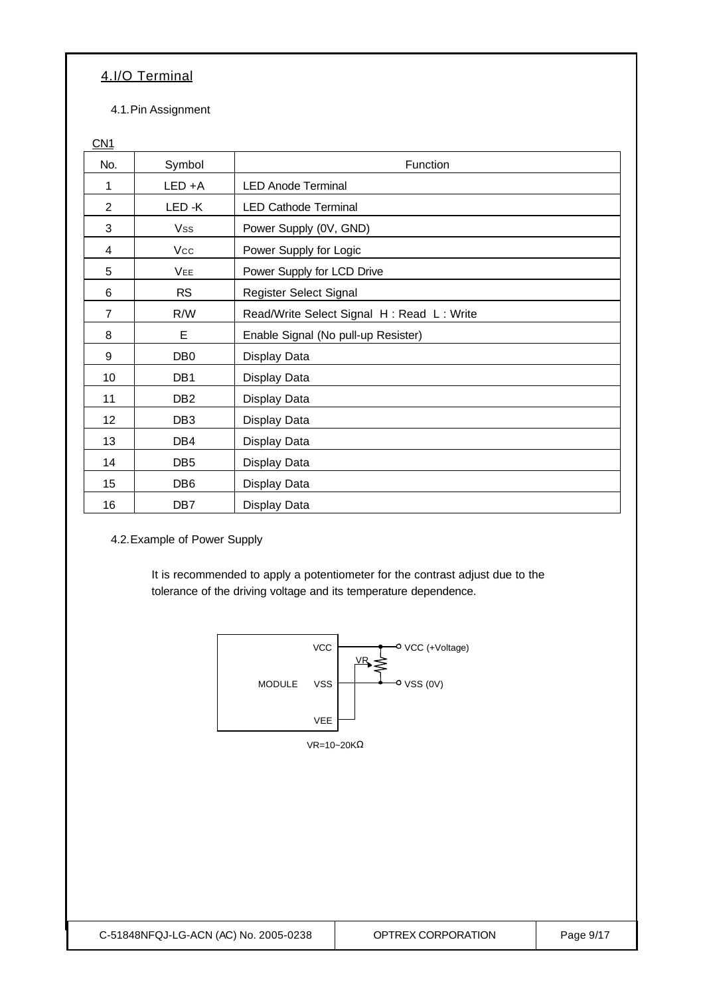#### 4.I/O Terminal

4.1.Pin Assignment

CN<sub>1</sub>

| No.            | Symbol          | Function                                  |
|----------------|-----------------|-------------------------------------------|
| 1              | $LED + A$       | <b>LED Anode Terminal</b>                 |
| $\overline{2}$ | LED-K           | <b>LED Cathode Terminal</b>               |
| 3              | Vss             | Power Supply (0V, GND)                    |
| 4              | Vcc             | Power Supply for Logic                    |
| 5              | VEE             | Power Supply for LCD Drive                |
| 6              | <b>RS</b>       | Register Select Signal                    |
| $\overline{7}$ | R/W             | Read/Write Select Signal H: Read L: Write |
| 8              | E               | Enable Signal (No pull-up Resister)       |
| 9              | DB <sub>0</sub> | Display Data                              |
| 10             | DB <sub>1</sub> | Display Data                              |
| 11             | DB <sub>2</sub> | Display Data                              |
| 12             | DB <sub>3</sub> | Display Data                              |
| 13             | DB4             | Display Data                              |
| 14             | DB <sub>5</sub> | Display Data                              |
| 15             | DB <sub>6</sub> | Display Data                              |
| 16             | DB7             | Display Data                              |

4.2.Example of Power Supply

It is recommended to apply a potentiometer for the contrast adjust due to the tolerance of the driving voltage and its temperature dependence.

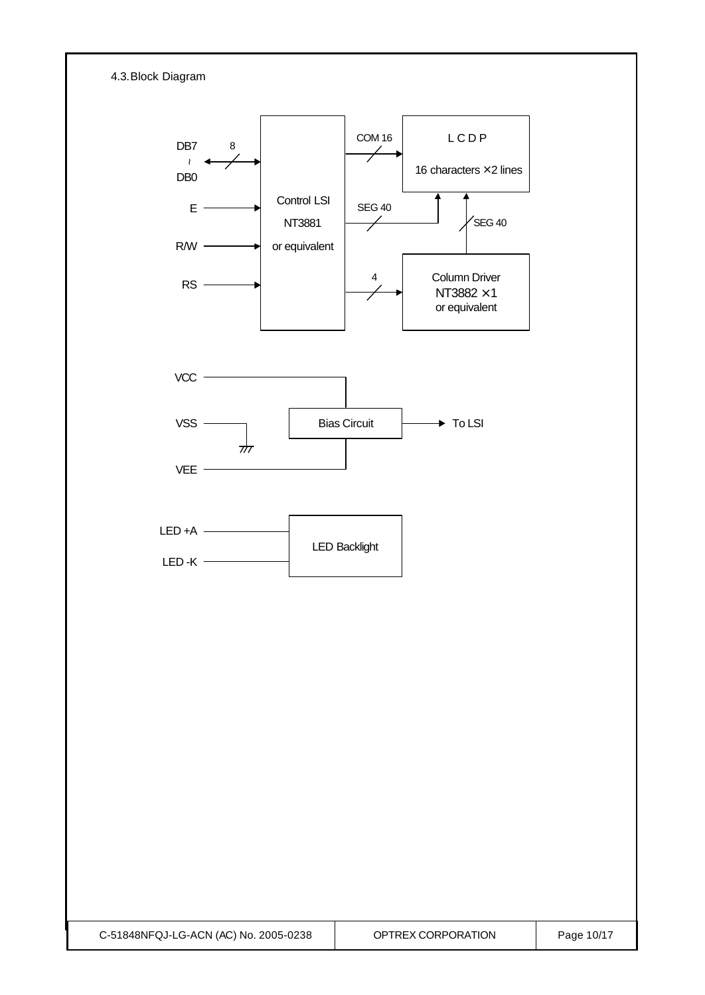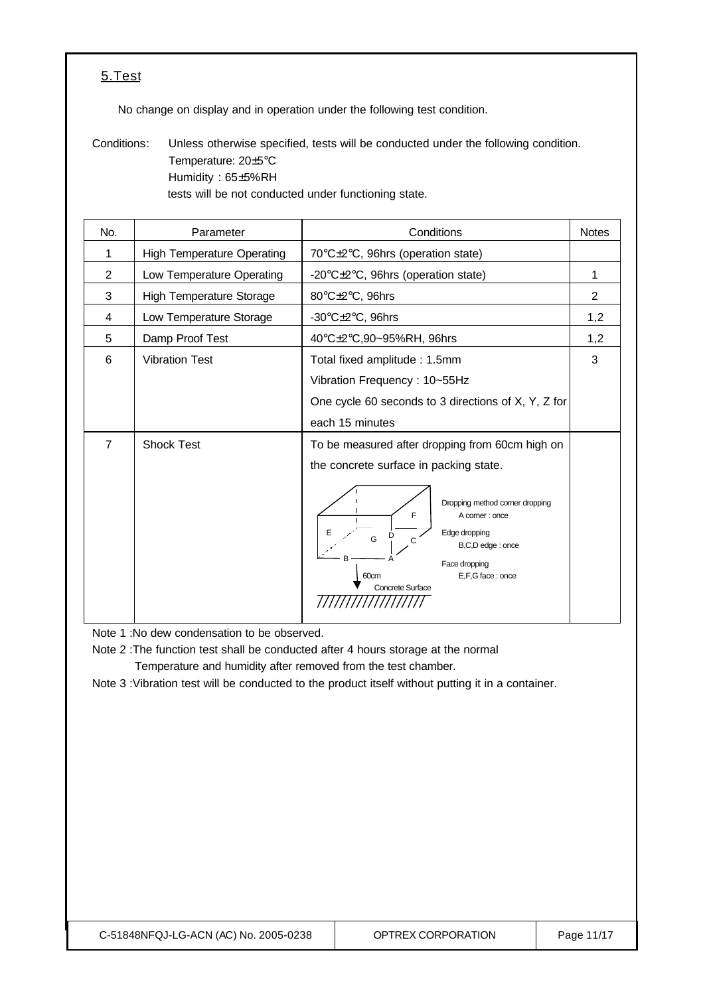#### 5.Test

No change on display and in operation under the following test condition.

Conditions: Unless otherwise specified, tests will be conducted under the following condition. Temperature: 20±5°C Humidity : 65±5%RH tests will be not conducted under functioning state.

| No.            | Parameter                         | Conditions                                                                                                                                                                                                                                                                 | <b>Notes</b> |
|----------------|-----------------------------------|----------------------------------------------------------------------------------------------------------------------------------------------------------------------------------------------------------------------------------------------------------------------------|--------------|
| 1              | <b>High Temperature Operating</b> | 70°C±2°C, 96hrs (operation state)                                                                                                                                                                                                                                          |              |
| $\overline{2}$ | Low Temperature Operating         | -20°C±2°C, 96hrs (operation state)                                                                                                                                                                                                                                         | 1            |
| 3              | <b>High Temperature Storage</b>   | 80°C±2°C, 96hrs                                                                                                                                                                                                                                                            | 2            |
| 4              | Low Temperature Storage           | -30 $\textdegree$ C $\pm$ 2 $\textdegree$ C, 96hrs                                                                                                                                                                                                                         | 1,2          |
| 5              | Damp Proof Test                   | 40°C±2°C,90~95%RH, 96hrs                                                                                                                                                                                                                                                   | 1,2          |
| 6              | <b>Vibration Test</b>             | Total fixed amplitude: 1.5mm<br>Vibration Frequency: 10~55Hz<br>One cycle 60 seconds to 3 directions of X, Y, Z for<br>each 15 minutes                                                                                                                                     | 3            |
| 7              | <b>Shock Test</b>                 | To be measured after dropping from 60cm high on<br>the concrete surface in packing state.<br>Dropping method corner dropping<br>F<br>A corner: once<br>Edge dropping<br>G<br>C<br>B,C,D edge: once<br>Face dropping<br>E,F,G face: once<br>60cm<br><b>Concrete Surface</b> |              |

Note 1 :No dew condensation to be observed.

Note 2 :The function test shall be conducted after 4 hours storage at the normal Temperature and humidity after removed from the test chamber.

Note 3 :Vibration test will be conducted to the product itself without putting it in a container.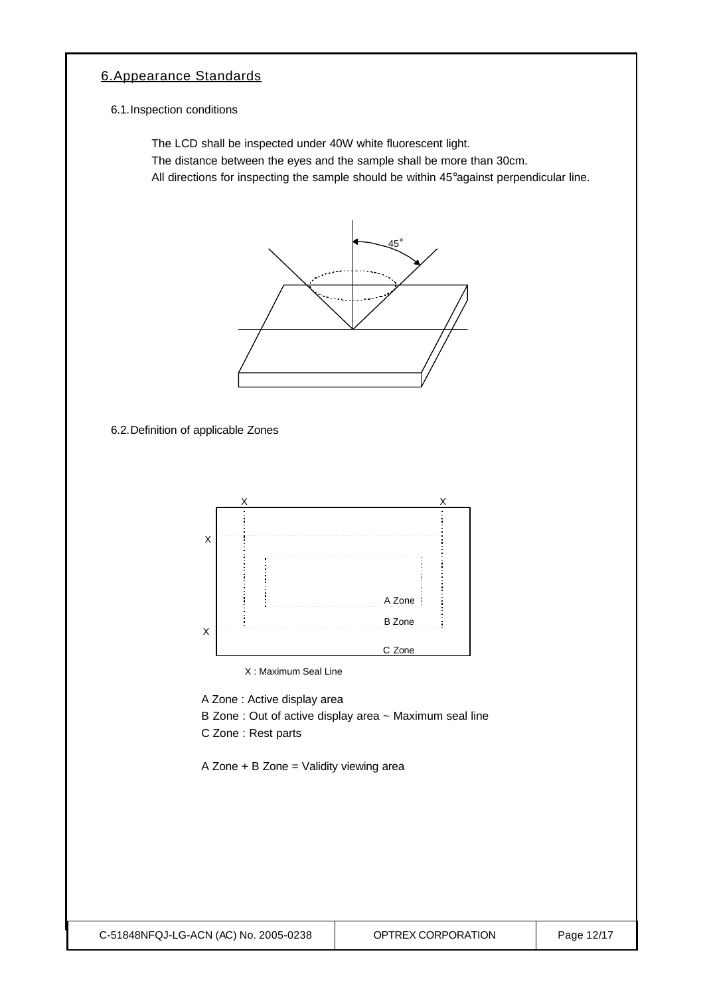#### 6.Appearance Standards

6.1.Inspection conditions

The LCD shall be inspected under 40W white fluorescent light.

The distance between the eyes and the sample shall be more than 30cm.

All directions for inspecting the sample should be within 45°against perpendicular line.



6.2.Definition of applicable Zones



X : Maximum Seal Line

A Zone : Active display area

- B Zone : Out of active display area ~ Maximum seal line
- C Zone : Rest parts

A Zone + B Zone = Validity viewing area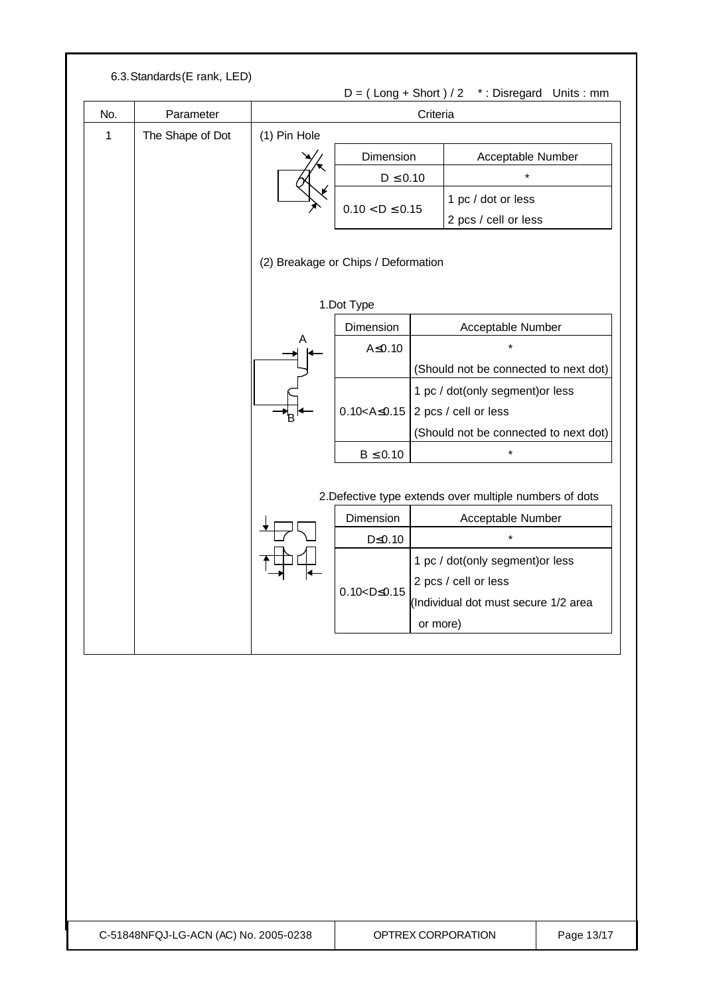|     |                  |              |                                                   |          | $D = (Long + Short) / 2$ *: Disregard Units: mm                                                                                                                                  |
|-----|------------------|--------------|---------------------------------------------------|----------|----------------------------------------------------------------------------------------------------------------------------------------------------------------------------------|
| No. | Parameter        |              |                                                   | Criteria |                                                                                                                                                                                  |
| 1   | The Shape of Dot | (1) Pin Hole |                                                   |          |                                                                                                                                                                                  |
|     |                  |              | Dimension                                         |          | Acceptable Number                                                                                                                                                                |
|     |                  |              | $D \leq 0.10$                                     |          | $\star$                                                                                                                                                                          |
|     |                  |              | $0.10 < D \le 0.15$                               |          | 1 pc / dot or less                                                                                                                                                               |
|     |                  |              |                                                   |          | 2 pcs / cell or less                                                                                                                                                             |
|     |                  |              | (2) Breakage or Chips / Deformation<br>1.Dot Type |          |                                                                                                                                                                                  |
|     |                  |              | Dimension                                         |          | Acceptable Number                                                                                                                                                                |
|     |                  | A            | $A \le 0.10$                                      |          |                                                                                                                                                                                  |
|     |                  |              |                                                   |          | (Should not be connected to next dot)                                                                                                                                            |
|     |                  |              |                                                   |          | 1 pc / dot(only segment) or less                                                                                                                                                 |
|     |                  |              | $0.10 < A \le 0.15$                               |          | 2 pcs / cell or less                                                                                                                                                             |
|     |                  |              |                                                   |          | (Should not be connected to next dot)                                                                                                                                            |
|     |                  |              | $B \leq 0.10$                                     |          |                                                                                                                                                                                  |
|     |                  |              | Dimension<br>$D \leq 0.10$<br>$0.10 < D \le 0.15$ | or more) | 2. Defective type extends over multiple numbers of dots<br>Acceptable Number<br>1 pc / dot(only segment) or less<br>2 pcs / cell or less<br>(Individual dot must secure 1/2 area |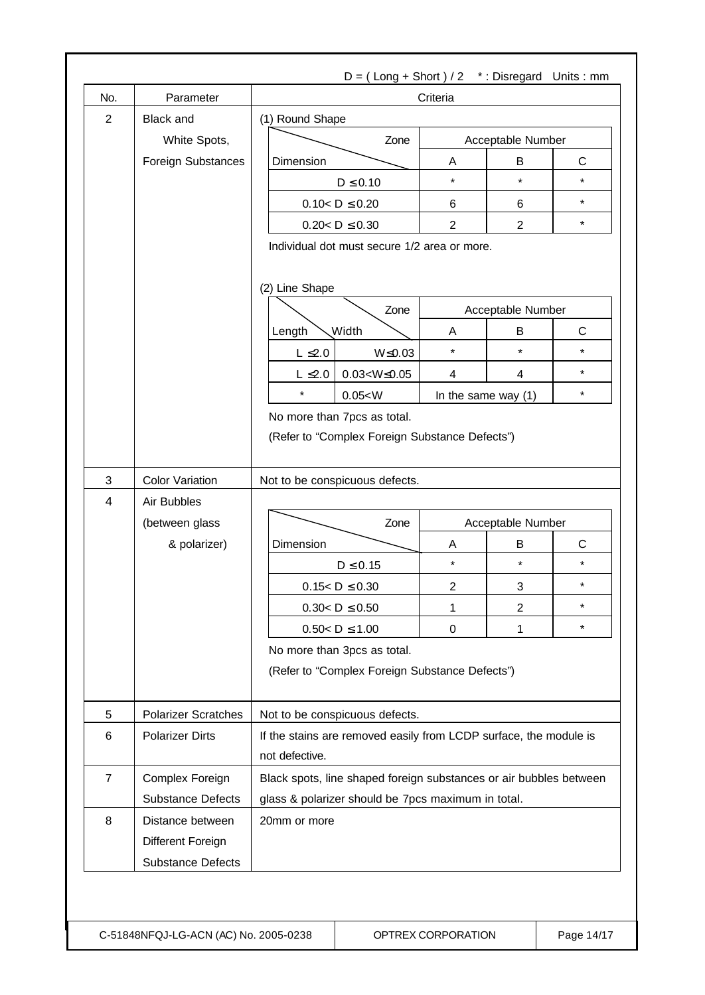| No.            | Parameter                      | Criteria                                                                            |  |                     |                           |              |  |
|----------------|--------------------------------|-------------------------------------------------------------------------------------|--|---------------------|---------------------------|--------------|--|
| $\overline{2}$ | <b>Black and</b>               | (1) Round Shape                                                                     |  |                     |                           |              |  |
|                | White Spots,                   | Zone                                                                                |  | Acceptable Number   |                           |              |  |
|                | Foreign Substances             | Dimension                                                                           |  | A                   | B                         | $\mathsf{C}$ |  |
|                |                                | $D \leq 0.10$                                                                       |  | $\star$             | $\star$                   | $\star$      |  |
|                |                                | $0.10 < D \le 0.20$                                                                 |  | 6                   | 6                         | $\star$      |  |
|                |                                | $0.20 < D \le 0.30$                                                                 |  | $\mathbf{2}$        | $\overline{2}$            | $\star$      |  |
|                |                                | Individual dot must secure 1/2 area or more.<br>(2) Line Shape                      |  |                     |                           |              |  |
|                |                                | Zone                                                                                |  | Acceptable Number   |                           |              |  |
|                |                                | <b>Width</b>                                                                        |  | A                   | B                         | $\mathsf{C}$ |  |
|                |                                | Length<br>$L \leq 2.0$<br>$W \le 0.03$                                              |  | $\star$             | $\star$                   | $\star$      |  |
|                |                                | $L \leq 2.0$<br>$0.03 < W \le 0.05$                                                 |  | 4                   | $\overline{4}$            | $\star$      |  |
|                |                                | $\star$<br>0.05 < W                                                                 |  |                     |                           | $\star$      |  |
|                |                                | No more than 7pcs as total.                                                         |  | In the same way (1) |                           |              |  |
| 3              | <b>Color Variation</b>         | (Refer to "Complex Foreign Substance Defects")<br>Not to be conspicuous defects.    |  |                     |                           |              |  |
| 4              | Air Bubbles                    |                                                                                     |  |                     |                           |              |  |
|                |                                | Zone                                                                                |  |                     |                           |              |  |
|                | (between glass<br>& polarizer) | Dimension                                                                           |  | A                   | Acceptable Number<br>B    | $\mathsf{C}$ |  |
|                |                                | $D \leq 0.15$                                                                       |  | $\star$             | $\star$                   | $\star$      |  |
|                |                                | $0.15 < D \le 0.30$                                                                 |  | $\overline{c}$      | $\ensuremath{\mathsf{3}}$ | $^\star$     |  |
|                |                                | $0.30 < D \le 0.50$                                                                 |  | 1                   | $\mathbf{2}$              | $\star$      |  |
|                |                                | $0.50 < D \le 1.00$                                                                 |  | 0                   | 1                         | $\star$      |  |
|                |                                | No more than 3pcs as total.<br>(Refer to "Complex Foreign Substance Defects")       |  |                     |                           |              |  |
| 5              | <b>Polarizer Scratches</b>     | Not to be conspicuous defects.                                                      |  |                     |                           |              |  |
| 6              | <b>Polarizer Dirts</b>         | If the stains are removed easily from LCDP surface, the module is<br>not defective. |  |                     |                           |              |  |
| $\overline{7}$ | Complex Foreign                | Black spots, line shaped foreign substances or air bubbles between                  |  |                     |                           |              |  |
|                | <b>Substance Defects</b>       | glass & polarizer should be 7pcs maximum in total.                                  |  |                     |                           |              |  |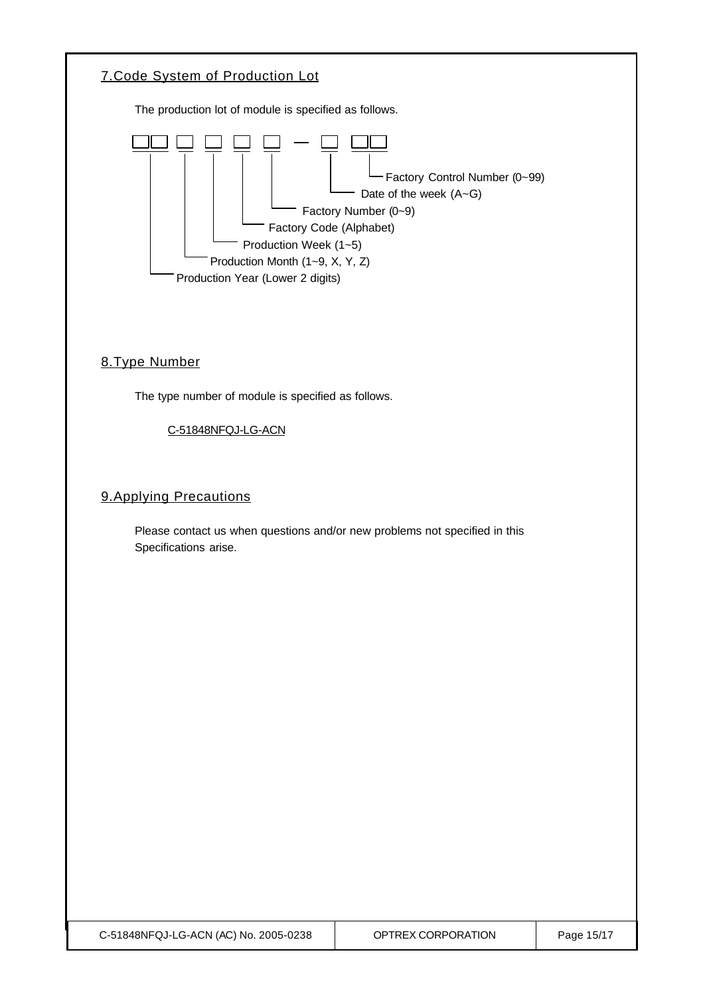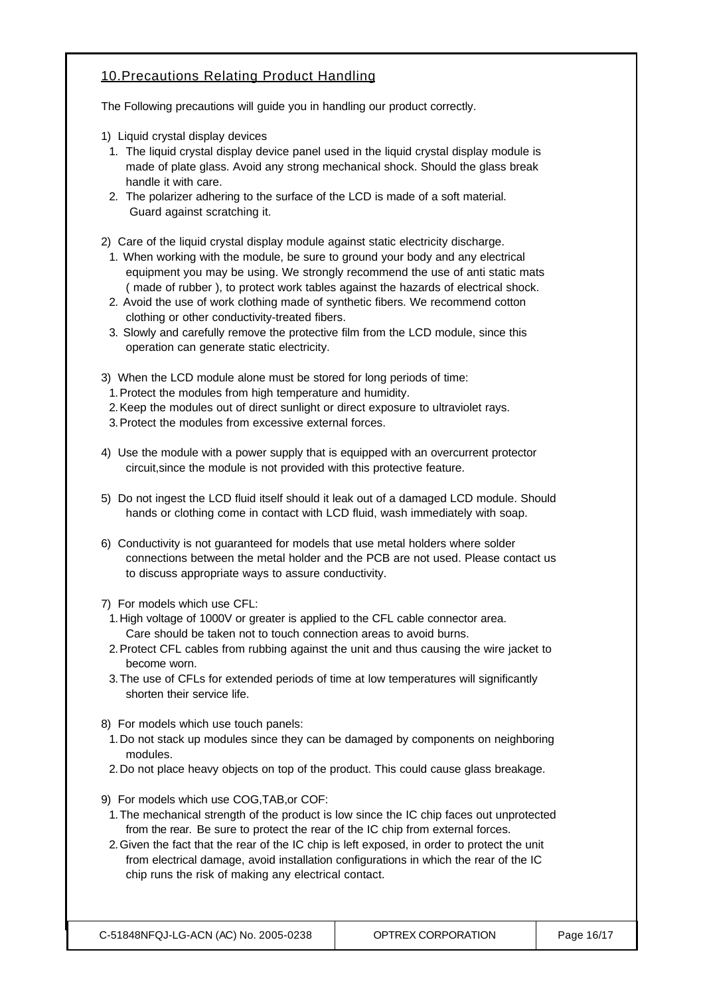#### 10.Precautions Relating Product Handling

The Following precautions will guide you in handling our product correctly.

- 1) Liquid crystal display devices
- 1. The liquid crystal display device panel used in the liquid crystal display module is made of plate glass. Avoid any strong mechanical shock. Should the glass break handle it with care.
- 2. The polarizer adhering to the surface of the LCD is made of a soft material. Guard against scratching it.
- 2) Care of the liquid crystal display module against static electricity discharge.
	- 1. When working with the module, be sure to ground your body and any electrical equipment you may be using. We strongly recommend the use of anti static mats ( made of rubber ), to protect work tables against the hazards of electrical shock.
	- 2. Avoid the use of work clothing made of synthetic fibers. We recommend cotton clothing or other conductivity-treated fibers.
	- 3. Slowly and carefully remove the protective film from the LCD module, since this operation can generate static electricity.
- 3) When the LCD module alone must be stored for long periods of time:
	- 1.Protect the modules from high temperature and humidity.
- 2.Keep the modules out of direct sunlight or direct exposure to ultraviolet rays.
- 3.Protect the modules from excessive external forces.
- 4) Use the module with a power supply that is equipped with an overcurrent protector circuit,since the module is not provided with this protective feature.
- 5) Do not ingest the LCD fluid itself should it leak out of a damaged LCD module. Should hands or clothing come in contact with LCD fluid, wash immediately with soap.
- 6) Conductivity is not guaranteed for models that use metal holders where solder connections between the metal holder and the PCB are not used. Please contact us to discuss appropriate ways to assure conductivity.
- 7) For models which use CFL:
- 1.High voltage of 1000V or greater is applied to the CFL cable connector area. Care should be taken not to touch connection areas to avoid burns.
- 2.Protect CFL cables from rubbing against the unit and thus causing the wire jacket to become worn.
- 3.The use of CFLs for extended periods of time at low temperatures will significantly shorten their service life.
- 8) For models which use touch panels:
- 1.Do not stack up modules since they can be damaged by components on neighboring modules.
- 2.Do not place heavy objects on top of the product. This could cause glass breakage.
- 9) For models which use COG,TAB,or COF:
- 1.The mechanical strength of the product is low since the IC chip faces out unprotected from the rear. Be sure to protect the rear of the IC chip from external forces.
- 2.Given the fact that the rear of the IC chip is left exposed, in order to protect the unit from electrical damage, avoid installation configurations in which the rear of the IC chip runs the risk of making any electrical contact.